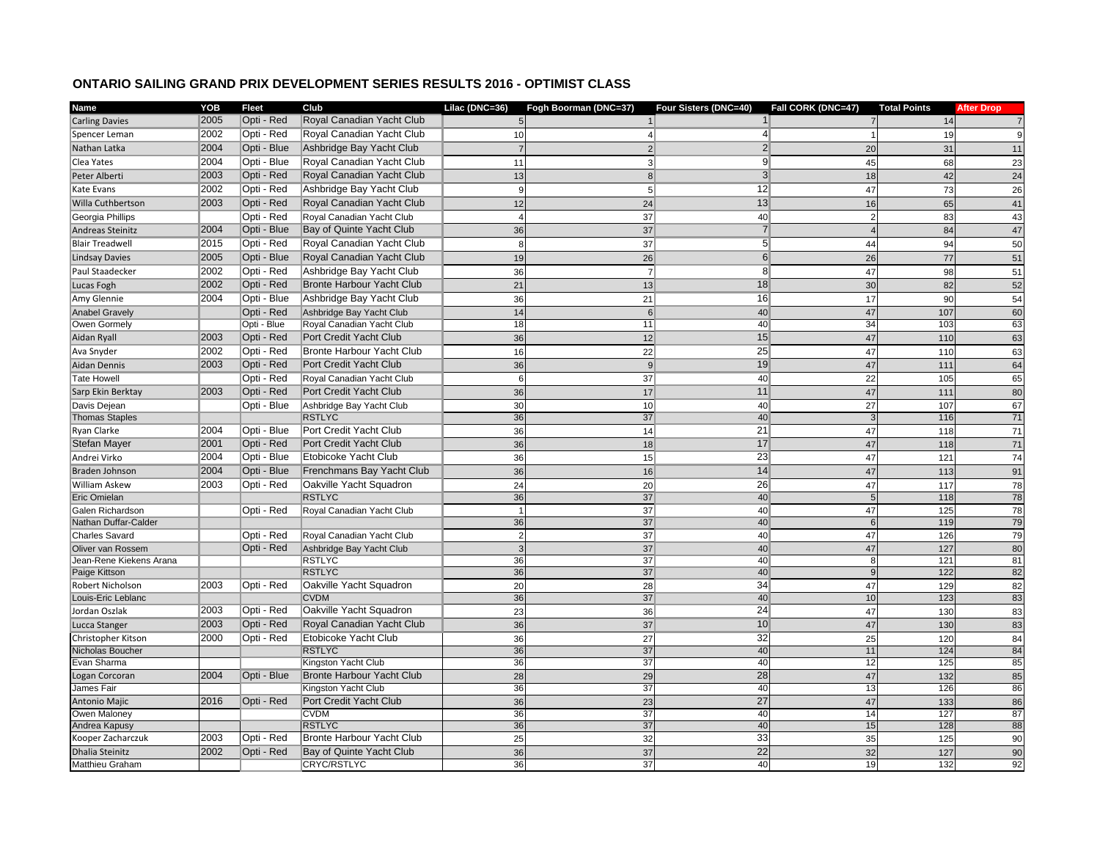## **ONTARIO SAILING GRAND PRIX DEVELOPMENT SERIES RESULTS 2016 - OPTIMIST CLASS**

| <b>Name</b>             | YOB  | <b>Fleet</b> | Club                             | Lilac (DNC=36) | Fogh Boorman (DNC=37) | Four Sisters (DNC=40) | Fall CORK (DNC=47) | <b>Total Points</b> | <b>After Drop</b> |
|-------------------------|------|--------------|----------------------------------|----------------|-----------------------|-----------------------|--------------------|---------------------|-------------------|
| <b>Carling Davies</b>   | 2005 | Opti - Red   | Royal Canadian Yacht Club        | 5 <sub>l</sub> |                       | 1 <sup>1</sup>        |                    | 14                  | $\overline{7}$    |
| Spencer Leman           | 2002 | Opti - Red   | Royal Canadian Yacht Club        | 10             | 4                     | $\left 4\right $      |                    | 19                  | 9                 |
| Nathan Latka            | 2004 | Opti - Blue  | Ashbridge Bay Yacht Club         |                | 2                     | $\overline{2}$        | 20                 | 31                  | 11                |
| Clea Yates              | 2004 | Opti - Blue  | Royal Canadian Yacht Club        | 11             | 3                     | 9                     | 45                 | 68                  | 23                |
| Peter Alberti           | 2003 | Opti - Red   | Royal Canadian Yacht Club        | 13             | 8                     | 3 <sup>l</sup>        | 18                 | 42                  | 24                |
| Kate Evans              | 2002 | Opti - Red   | Ashbridge Bay Yacht Club         | 9              | 5 <sup>1</sup>        | 12                    | 47                 | 73                  | 26                |
| Willa Cuthbertson       | 2003 | Opti - Red   | Royal Canadian Yacht Club        | 12             | 24                    | 13                    | 16                 | 65                  | 41                |
| Georgia Phillips        |      | Opti - Red   | Royal Canadian Yacht Club        |                | 37                    | 40                    | $\overline{2}$     | 83                  | 43                |
| Andreas Steinitz        | 2004 | Opti - Blue  | Bay of Quinte Yacht Club         | 36             | 37                    | $\overline{7}$        |                    | 84                  | 47                |
| <b>Blair Treadwell</b>  | 2015 | Opti - Red   | Royal Canadian Yacht Club        | 8              |                       | 5 <sup>1</sup>        | 44                 | 94                  |                   |
|                         | 2005 | Opti - Blue  | Royal Canadian Yacht Club        |                | 37                    | 6 <sup>1</sup>        |                    |                     | 50                |
| Lindsay Davies          |      |              |                                  | 19             | 26                    |                       | 26                 | 77                  | 51                |
| Paul Staadecker         | 2002 | Opti - Red   | Ashbridge Bay Yacht Club         | 36             | $\overline{7}$        | 8 <sup>1</sup>        | 47                 | 98                  | 51                |
| Lucas Fogh              | 2002 | Opti - Red   | Bronte Harbour Yacht Club        | 21             | 13                    | 18                    | 30                 | 82                  | 52                |
| Amy Glennie             | 2004 | Opti - Blue  | Ashbridge Bay Yacht Club         | 36             | 21                    | 16                    | 17                 | 90                  | 54                |
| <b>Anabel Gravely</b>   |      | Opti - Red   | Ashbridge Bay Yacht Club         | 14             | $\overline{6}$        | 40                    | 47                 | 107                 | 60                |
| Owen Gormely            |      | Opti - Blue  | Royal Canadian Yacht Club        | 18             | 11                    | 40                    | 34                 | 103                 | 63                |
| Aidan Ryall             | 2003 | Opti - Red   | Port Credit Yacht Club           | 36             | 12                    | 15                    | 47                 | 110                 | 63                |
| Ava Snyder              | 2002 | Opti - Red   | Bronte Harbour Yacht Club        | 16             | 22                    | 25                    | 47                 | 110                 | 63                |
| Aidan Dennis            | 2003 | Opti - Red   | Port Credit Yacht Club           | 36             | 9                     | 19                    | 47                 | 111                 | 64                |
| Tate Howell             |      | Opti - Red   | Royal Canadian Yacht Club        | 6              | 37                    | 40                    | 22                 | 105                 | 65                |
| Sarp Ekin Berktay       | 2003 | Opti - Red   | Port Credit Yacht Club           | 36             | 17                    | 11                    | 47                 | 111                 | 80                |
| Davis Dejean            |      | Opti - Blue  | Ashbridge Bay Yacht Club         | 30             | 10 <sup>1</sup>       | 40                    | 27                 | 107                 | 67                |
| <b>Thomas Staples</b>   |      |              | <b>RSTLYC</b>                    | 36             | 37                    | 40                    |                    | 116                 | 71                |
| Ryan Clarke             | 2004 | Opti - Blue  | Port Credit Yacht Club           | 36             | 14                    | $\overline{21}$       | 47                 | 118                 | $71$              |
| Stefan Mayer            | 2001 | Opti - Red   | Port Credit Yacht Club           | 36             | 18                    | 17                    | 47                 | 118                 | 71                |
| Andrei Virko            | 2004 | Opti - Blue  | Etobicoke Yacht Club             | 36             | 15                    | 23                    | 47                 | 121                 | 74                |
| Braden Johnson          | 2004 | Opti - Blue  | Frenchmans Bay Yacht Club        | 36             | 16                    | 14                    | 47                 | 113                 | 91                |
| <b>William Askew</b>    | 2003 | Opti - Red   | Oakville Yacht Squadron          | 24             | 20                    | 26                    | 47                 | 117                 | 78                |
| <b>Eric Omielan</b>     |      |              | <b>RSTLYC</b>                    | 36             | 37                    | 40                    |                    | 118                 | 78                |
| Galen Richardson        |      | Opti - Red   | Royal Canadian Yacht Club        |                | 37                    | 40                    | 47                 | 125                 | 78                |
| Nathan Duffar-Calder    |      |              |                                  | 36             | 37                    | 40                    | 6                  | 119                 | 79                |
| Charles Savard          |      | Opti - Red   | Royal Canadian Yacht Club        | $\overline{2}$ | 37                    | 40                    | 47                 | 126                 | 79                |
| Oliver van Rossem       |      | Opti - Red   | Ashbridge Bay Yacht Club         |                | 37                    | 40                    | 47                 | 127                 | 80                |
| Jean-Rene Kiekens Arana |      |              | <b>RSTLYC</b>                    | 36             | 37                    | 40                    |                    | 121                 | 81                |
| Paige Kittson           |      |              | <b>RSTLYC</b>                    | 36             | 37                    | 40                    | 9                  | 122                 | 82                |
| Robert Nicholson        | 2003 | Opti - Red   | Oakville Yacht Squadron          | 20             | 28                    | 34                    | 47                 | 129                 | 82                |
| Louis-Eric Leblanc      |      |              | <b>CVDM</b>                      | 36             | 37                    | 40                    | 10                 | 123                 | 83                |
| Jordan Oszlak           | 2003 | Opti - Red   | Oakville Yacht Squadron          | 23             | 36                    | 24                    | 47                 | 130                 | 83                |
| Lucca Stanger           | 2003 | Opti - Red   | Royal Canadian Yacht Club        | 36             | 37                    | 10                    | 47                 | 130                 | 83                |
| Christopher Kitson      | 2000 | Opti - Red   | Etobicoke Yacht Club             | 36             | 27                    | 32                    | 25                 | 120                 | 84                |
| Nicholas Boucher        |      |              | <b>RSTLYC</b>                    | 36             | 37                    | 40                    | 11                 | 124                 | 84                |
| Evan Sharma             |      |              | Kingston Yacht Club              | 36             | 37                    | 40                    | 12                 | 125                 | 85                |
| Logan Corcoran          | 2004 | Opti - Blue  | <b>Bronte Harbour Yacht Club</b> | 28             | 29                    | 28                    | 47                 | 132                 | 85                |
| James Fair              |      |              | Kingston Yacht Club              | 36             | 37                    | 40                    | 13                 | 126                 | 86                |
| Antonio Majic           | 2016 | Opti - Red   | Port Credit Yacht Club           | 36             | 23                    | 27                    | 47                 | 133                 | 86                |
| Owen Maloney            |      |              | <b>CVDM</b>                      | 36             | 37                    | 40                    | 14                 | 127                 | 87                |
| Andrea Kapusy           |      |              | <b>RSTLYC</b>                    | 36             | 37                    | 40                    | 15                 | 128                 | 88                |
| Kooper Zacharczuk       | 2003 | Opti - Red   | Bronte Harbour Yacht Club        | 25             | 32                    | 33                    | 35                 | 125                 | $90\,$            |
| <b>Dhalia Steinitz</b>  | 2002 | Opti - Red   | Bay of Quinte Yacht Club         | 36             | 37                    | $\overline{22}$       | 32                 | 127                 | 90                |
| Matthieu Graham         |      |              | <b>CRYC/RSTLYC</b>               | 36             | $\overline{37}$       | 40                    | 19                 | 132                 | 92                |